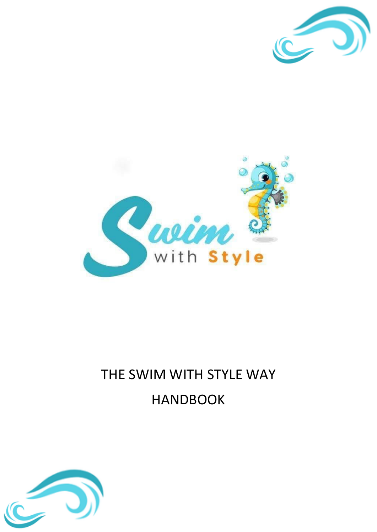



# THE SWIM WITH STYLE WAY HANDBOOK

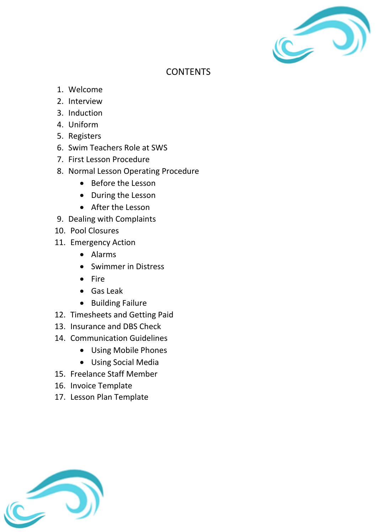

### **CONTENTS**

- 1. Welcome
- 2. Interview
- 3. Induction
- 4. Uniform
- 5. Registers
- 6. Swim Teachers Role at SWS
- 7. First Lesson Procedure
- 8. Normal Lesson Operating Procedure
	- Before the Lesson
	- During the Lesson
	- After the Lesson
- 9. Dealing with Complaints
- 10. Pool Closures
- 11. Emergency Action
	- Alarms
	- Swimmer in Distress
	- Fire
	- Gas Leak
	- Building Failure
- 12. Timesheets and Getting Paid
- 13. Insurance and DBS Check
- 14. Communication Guidelines
	- Using Mobile Phones
	- Using Social Media
- 15. Freelance Staff Member
- 16. Invoice Template
- 17. Lesson Plan Template

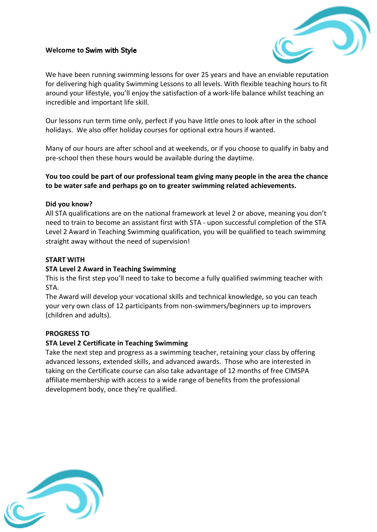#### **Welcome to** Swim with Style



We have been running swimming lessons for over 25 years and have an enviable reputation for delivering high quality Swimming Lessons to all levels. With flexible teaching hours to fit around your lifestyle, you'll enjoy the satisfaction of a work-life balance whilst teaching an incredible and important life skill.

Our lessons run term time only, perfect if you have little ones to look after in the school holidays. We also offer holiday courses for optional extra hours if wanted.

Many of our hours are after school and at weekends, or if you choose to qualify in baby and pre-school then these hours would be available during the daytime.

#### **You too could be part of our professional team giving many people in the area the chance to be water safe and perhaps go on to greater swimming related achievements.**

#### **Did you know?**

All STA qualifications are on the national framework at level 2 or above, meaning you don't need to train to become an assistant first with STA - upon successful completion of the STA Level 2 Award in Teaching Swimming qualification, you will be qualified to teach swimming straight away without the need of supervision!

#### **START WITH**

#### **STA Level 2 Award in Teaching Swimming**

This is the first step you'll need to take to become a fully qualified swimming teacher with STA.

The Award will develop your vocational skills and technical knowledge, so you can teach your very own class of 12 participants from non-swimmers/beginners up to improvers (children and adults).

#### **PROGRESS TO**

#### **STA Level 2 Certificate in Teaching Swimming**

Take the next step and progress as a swimming teacher, retaining your class by offering advanced lessons, extended skills, and advanced awards. Those who are interested in taking on the Certificate course can also take advantage of 12 months of free CIMSPA affiliate membership with access to a wide range of benefits from the professional development body, once they're qualified.

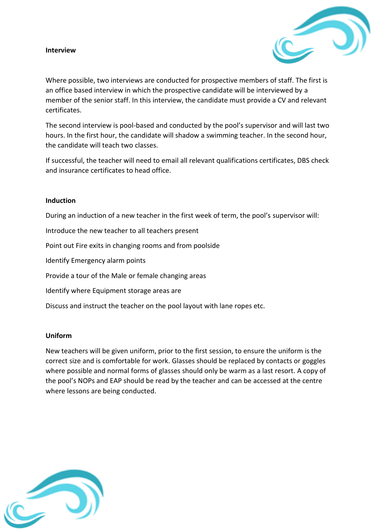#### **Interview**



Where possible, two interviews are conducted for prospective members of staff. The first is an office based interview in which the prospective candidate will be interviewed by a member of the senior staff. In this interview, the candidate must provide a CV and relevant certificates.

The second interview is pool-based and conducted by the pool's supervisor and will last two hours. In the first hour, the candidate will shadow a swimming teacher. In the second hour, the candidate will teach two classes.

If successful, the teacher will need to email all relevant qualifications certificates, DBS check and insurance certificates to head office.

#### **Induction**

During an induction of a new teacher in the first week of term, the pool's supervisor will:

Introduce the new teacher to all teachers present

Point out Fire exits in changing rooms and from poolside

Identify Emergency alarm points

Provide a tour of the Male or female changing areas

Identify where Equipment storage areas are

Discuss and instruct the teacher on the pool layout with lane ropes etc.

#### **Uniform**

New teachers will be given uniform, prior to the first session, to ensure the uniform is the correct size and is comfortable for work. Glasses should be replaced by contacts or goggles where possible and normal forms of glasses should only be warm as a last resort. A copy of the pool's NOPs and EAP should be read by the teacher and can be accessed at the centre where lessons are being conducted.

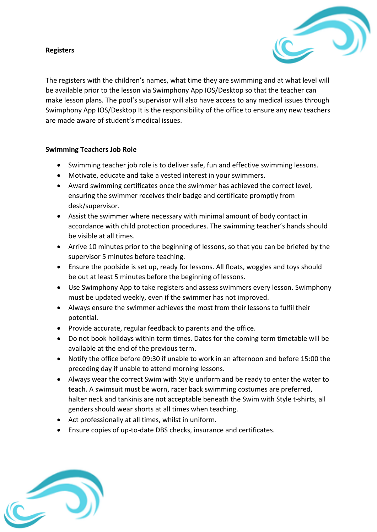#### **Registers**



The registers with the children's names, what time they are swimming and at what level will be available prior to the lesson via Swimphony App IOS/Desktop so that the teacher can make lesson plans. The pool's supervisor will also have access to any medical issues through Swimphony App IOS/Desktop It is the responsibility of the office to ensure any new teachers are made aware of student's medical issues.

#### **Swimming Teachers Job Role**

- Swimming teacher job role is to deliver safe, fun and effective swimming lessons.
- Motivate, educate and take a vested interest in your swimmers.
- Award swimming certificates once the swimmer has achieved the correct level, ensuring the swimmer receives their badge and certificate promptly from desk/supervisor.
- Assist the swimmer where necessary with minimal amount of body contact in accordance with child protection procedures. The swimming teacher's hands should be visible at all times.
- Arrive 10 minutes prior to the beginning of lessons, so that you can be briefed by the supervisor 5 minutes before teaching.
- Ensure the poolside is set up, ready for lessons. All floats, woggles and toys should be out at least 5 minutes before the beginning of lessons.
- Use Swimphony App to take registers and assess swimmers every lesson. Swimphony must be updated weekly, even if the swimmer has not improved.
- Always ensure the swimmer achieves the most from their lessons to fulfil their potential.
- Provide accurate, regular feedback to parents and the office.
- Do not book holidays within term times. Dates for the coming term timetable will be available at the end of the previous term.
- Notify the office before 09:30 if unable to work in an afternoon and before 15:00 the preceding day if unable to attend morning lessons.
- Always wear the correct Swim with Style uniform and be ready to enter the water to teach. A swimsuit must be worn, racer back swimming costumes are preferred, halter neck and tankinis are not acceptable beneath the Swim with Style t-shirts, all genders should wear shorts at all times when teaching.
- Act professionally at all times, whilst in uniform.
- Ensure copies of up-to-date DBS checks, insurance and certificates.

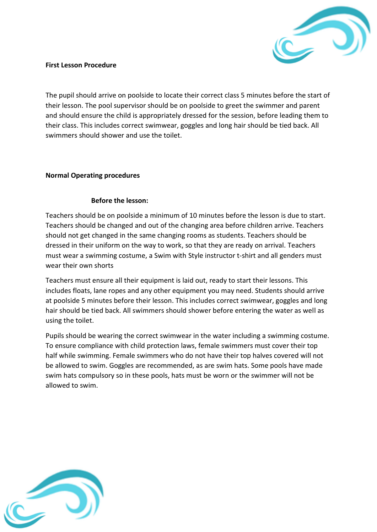

#### **First Lesson Procedure**

The pupil should arrive on poolside to locate their correct class 5 minutes before the start of their lesson. The pool supervisor should be on poolside to greet the swimmer and parent and should ensure the child is appropriately dressed for the session, before leading them to their class. This includes correct swimwear, goggles and long hair should be tied back. All swimmers should shower and use the toilet.

#### **Normal Operating procedures**

#### **Before the lesson:**

Teachers should be on poolside a minimum of 10 minutes before the lesson is due to start. Teachers should be changed and out of the changing area before children arrive. Teachers should not get changed in the same changing rooms as students. Teachers should be dressed in their uniform on the way to work, so that they are ready on arrival. Teachers must wear a swimming costume, a Swim with Style instructor t-shirt and all genders must wear their own shorts

Teachers must ensure all their equipment is laid out, ready to start their lessons. This includes floats, lane ropes and any other equipment you may need. Students should arrive at poolside 5 minutes before their lesson. This includes correct swimwear, goggles and long hair should be tied back. All swimmers should shower before entering the water as well as using the toilet.

Pupils should be wearing the correct swimwear in the water including a swimming costume. To ensure compliance with child protection laws, female swimmers must cover their top half while swimming. Female swimmers who do not have their top halves covered will not be allowed to swim. Goggles are recommended, as are swim hats. Some pools have made swim hats compulsory so in these pools, hats must be worn or the swimmer will not be allowed to swim.

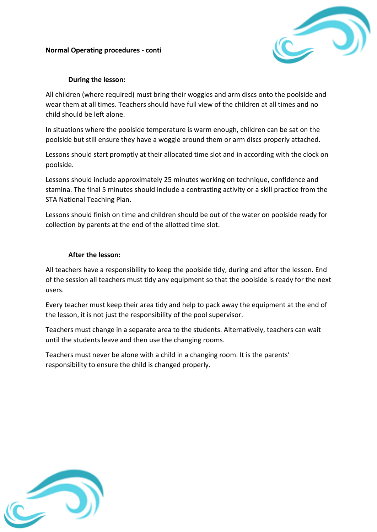#### **Normal Operating procedures - conti**



#### **During the lesson:**

All children (where required) must bring their woggles and arm discs onto the poolside and wear them at all times. Teachers should have full view of the children at all times and no child should be left alone.

In situations where the poolside temperature is warm enough, children can be sat on the poolside but still ensure they have a woggle around them or arm discs properly attached.

Lessons should start promptly at their allocated time slot and in according with the clock on poolside.

Lessons should include approximately 25 minutes working on technique, confidence and stamina. The final 5 minutes should include a contrasting activity or a skill practice from the STA National Teaching Plan.

Lessons should finish on time and children should be out of the water on poolside ready for collection by parents at the end of the allotted time slot.

#### **After the lesson:**

All teachers have a responsibility to keep the poolside tidy, during and after the lesson. End of the session all teachers must tidy any equipment so that the poolside is ready for the next users.

Every teacher must keep their area tidy and help to pack away the equipment at the end of the lesson, it is not just the responsibility of the pool supervisor.

Teachers must change in a separate area to the students. Alternatively, teachers can wait until the students leave and then use the changing rooms.

Teachers must never be alone with a child in a changing room. It is the parents' responsibility to ensure the child is changed properly.

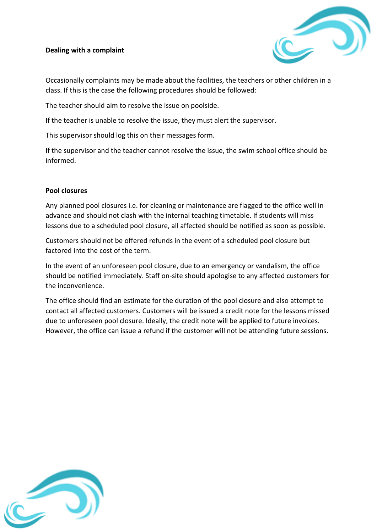#### **Dealing with a complaint**



Occasionally complaints may be made about the facilities, the teachers or other children in a class. If this is the case the following procedures should be followed:

The teacher should aim to resolve the issue on poolside.

If the teacher is unable to resolve the issue, they must alert the supervisor.

This supervisor should log this on their messages form.

If the supervisor and the teacher cannot resolve the issue, the swim school office should be informed.

#### **Pool closures**

Any planned pool closures i.e. for cleaning or maintenance are flagged to the office well in advance and should not clash with the internal teaching timetable. If students will miss lessons due to a scheduled pool closure, all affected should be notified as soon as possible.

Customers should not be offered refunds in the event of a scheduled pool closure but factored into the cost of the term.

In the event of an unforeseen pool closure, due to an emergency or vandalism, the office should be notified immediately. Staff on-site should apologise to any affected customers for the inconvenience.

The office should find an estimate for the duration of the pool closure and also attempt to contact all affected customers. Customers will be issued a credit note for the lessons missed due to unforeseen pool closure. Ideally, the credit note will be applied to future invoices. However, the office can issue a refund if the customer will not be attending future sessions.

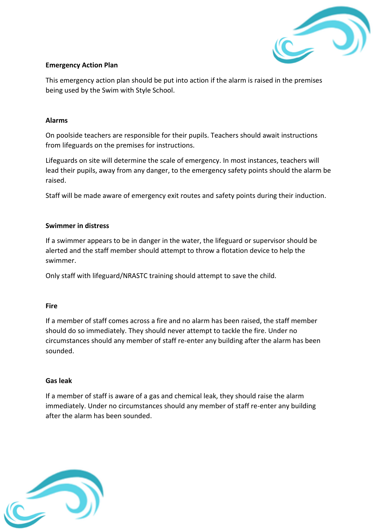

#### **Emergency Action Plan**

This emergency action plan should be put into action if the alarm is raised in the premises being used by the Swim with Style School.

#### **Alarms**

On poolside teachers are responsible for their pupils. Teachers should await instructions from lifeguards on the premises for instructions.

Lifeguards on site will determine the scale of emergency. In most instances, teachers will lead their pupils, away from any danger, to the emergency safety points should the alarm be raised.

Staff will be made aware of emergency exit routes and safety points during their induction.

#### **Swimmer in distress**

If a swimmer appears to be in danger in the water, the lifeguard or supervisor should be alerted and the staff member should attempt to throw a flotation device to help the swimmer.

Only staff with lifeguard/NRASTC training should attempt to save the child.

#### **Fire**

If a member of staff comes across a fire and no alarm has been raised, the staff member should do so immediately. They should never attempt to tackle the fire. Under no circumstances should any member of staff re-enter any building after the alarm has been sounded.

#### **Gas leak**

If a member of staff is aware of a gas and chemical leak, they should raise the alarm immediately. Under no circumstances should any member of staff re-enter any building after the alarm has been sounded.

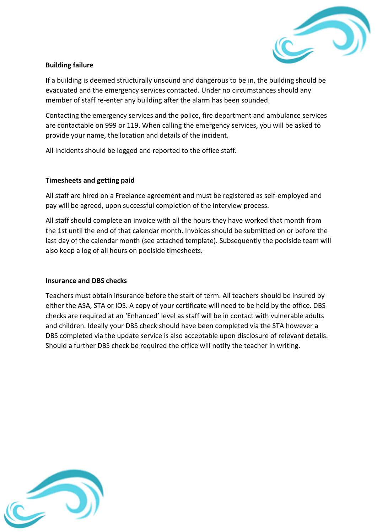

#### **Building failure**

If a building is deemed structurally unsound and dangerous to be in, the building should be evacuated and the emergency services contacted. Under no circumstances should any member of staff re-enter any building after the alarm has been sounded.

Contacting the emergency services and the police, fire department and ambulance services are contactable on 999 or 119. When calling the emergency services, you will be asked to provide your name, the location and details of the incident.

All Incidents should be logged and reported to the office staff.

#### **Timesheets and getting paid**

All staff are hired on a Freelance agreement and must be registered as self-employed and pay will be agreed, upon successful completion of the interview process.

All staff should complete an invoice with all the hours they have worked that month from the 1st until the end of that calendar month. Invoices should be submitted on or before the last day of the calendar month (see attached template). Subsequently the poolside team will also keep a log of all hours on poolside timesheets.

#### **Insurance and DBS checks**

Teachers must obtain insurance before the start of term. All teachers should be insured by either the ASA, STA or IOS. A copy of your certificate will need to be held by the office. DBS checks are required at an 'Enhanced' level as staff will be in contact with vulnerable adults and children. Ideally your DBS check should have been completed via the STA however a DBS completed via the update service is also acceptable upon disclosure of relevant details. Should a further DBS check be required the office will notify the teacher in writing.

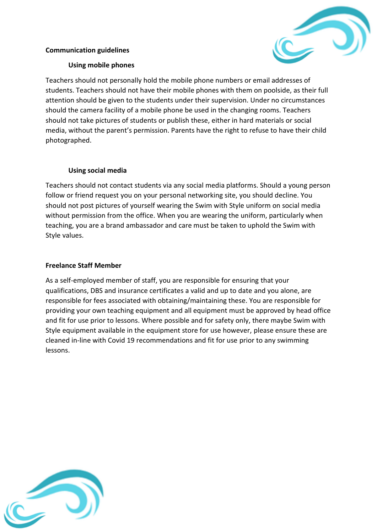#### **Communication guidelines**



#### **Using mobile phones**

Teachers should not personally hold the mobile phone numbers or email addresses of students. Teachers should not have their mobile phones with them on poolside, as their full attention should be given to the students under their supervision. Under no circumstances should the camera facility of a mobile phone be used in the changing rooms. Teachers should not take pictures of students or publish these, either in hard materials or social media, without the parent's permission. Parents have the right to refuse to have their child photographed.

#### **Using social media**

Teachers should not contact students via any social media platforms. Should a young person follow or friend request you on your personal networking site, you should decline. You should not post pictures of yourself wearing the Swim with Style uniform on social media without permission from the office. When you are wearing the uniform, particularly when teaching, you are a brand ambassador and care must be taken to uphold the Swim with Style values.

#### **Freelance Staff Member**

As a self-employed member of staff, you are responsible for ensuring that your qualifications, DBS and insurance certificates a valid and up to date and you alone, are responsible for fees associated with obtaining/maintaining these. You are responsible for providing your own teaching equipment and all equipment must be approved by head office and fit for use prior to lessons. Where possible and for safety only, there maybe Swim with Style equipment available in the equipment store for use however, please ensure these are cleaned in-line with Covid 19 recommendations and fit for use prior to any swimming lessons.

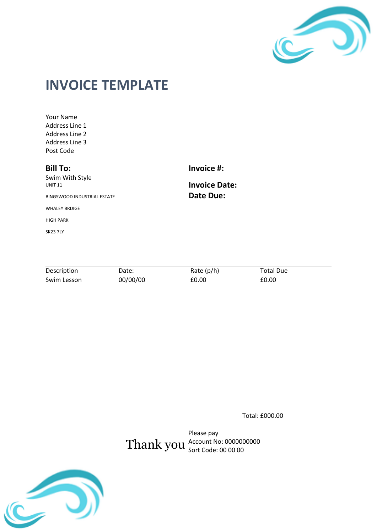

## **INVOICE TEMPLATE**

Your Name Address Line 1 Address Line 2 Address Line 3 Post Code

#### **Bill To:**

SK23 7LY

Swim With Style UNIT 11 BINGSWOOD INDUSTRIAL ESTATE WHALEY BRDIGE HIGH PARK

**Invoice #:**

**Invoice Date: Date Due:**

| Description | Date:    | Rate $(p/h)$ | Total Due |
|-------------|----------|--------------|-----------|
| Swim Lesson | 00/00/00 | £0.00        | £0.00     |

Total: £000.00

Thank you Please pay Account No: 0000000000 Sort Code: 00 00 00